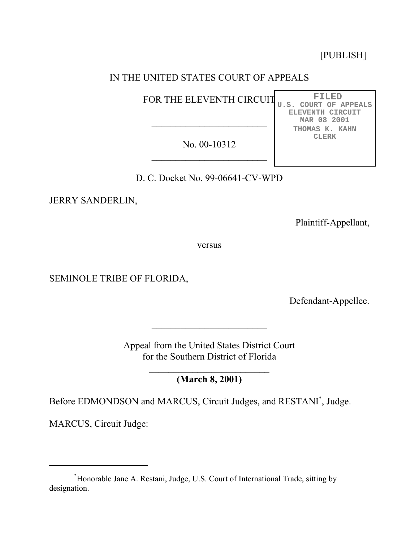[PUBLISH]

**FILED U.S. COURT OF APPEALS ELEVENTH CIRCUIT MAR 08 2001 THOMAS K. KAHN CLERK**

# IN THE UNITED STATES COURT OF APPEALS

FOR THE ELEVENTH CIRCUIT

No. 00-10312  $\overline{\phantom{a}}$  , where  $\overline{\phantom{a}}$ 

 $\mathcal{L}_\text{max}$  , where  $\mathcal{L}_\text{max}$  , we have the set of  $\mathcal{L}_\text{max}$ 

D. C. Docket No. 99-06641-CV-WPD

JERRY SANDERLIN,

Plaintiff-Appellant,

versus

SEMINOLE TRIBE OF FLORIDA,

Defendant-Appellee.

Appeal from the United States District Court for the Southern District of Florida

**(March 8, 2001)**

Before EDMONDSON and MARCUS, Circuit Judges, and RESTANI\* , Judge.

MARCUS, Circuit Judge:

<sup>\*</sup> Honorable Jane A. Restani, Judge, U.S. Court of International Trade, sitting by designation.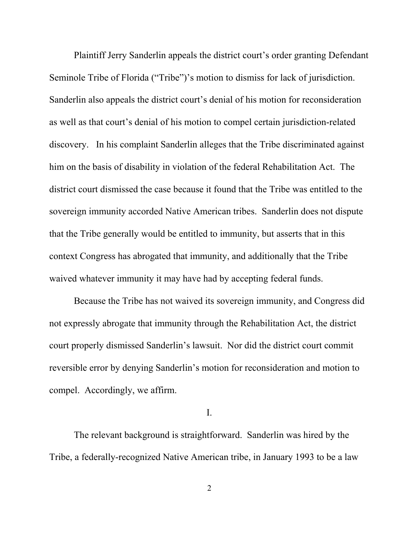Plaintiff Jerry Sanderlin appeals the district court's order granting Defendant Seminole Tribe of Florida ("Tribe")'s motion to dismiss for lack of jurisdiction. Sanderlin also appeals the district court's denial of his motion for reconsideration as well as that court's denial of his motion to compel certain jurisdiction-related discovery. In his complaint Sanderlin alleges that the Tribe discriminated against him on the basis of disability in violation of the federal Rehabilitation Act. The district court dismissed the case because it found that the Tribe was entitled to the sovereign immunity accorded Native American tribes. Sanderlin does not dispute that the Tribe generally would be entitled to immunity, but asserts that in this context Congress has abrogated that immunity, and additionally that the Tribe waived whatever immunity it may have had by accepting federal funds.

Because the Tribe has not waived its sovereign immunity, and Congress did not expressly abrogate that immunity through the Rehabilitation Act, the district court properly dismissed Sanderlin's lawsuit. Nor did the district court commit reversible error by denying Sanderlin's motion for reconsideration and motion to compel. Accordingly, we affirm.

I.

The relevant background is straightforward. Sanderlin was hired by the Tribe, a federally-recognized Native American tribe, in January 1993 to be a law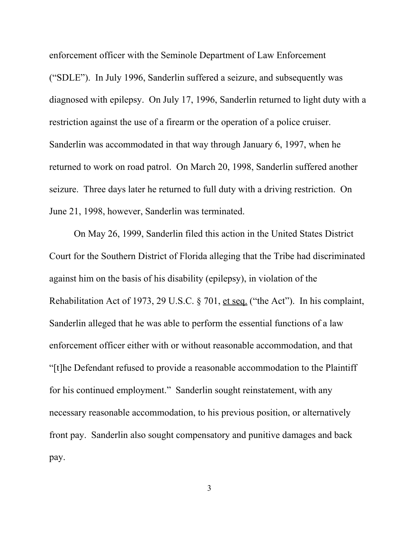enforcement officer with the Seminole Department of Law Enforcement ("SDLE"). In July 1996, Sanderlin suffered a seizure, and subsequently was diagnosed with epilepsy. On July 17, 1996, Sanderlin returned to light duty with a restriction against the use of a firearm or the operation of a police cruiser. Sanderlin was accommodated in that way through January 6, 1997, when he returned to work on road patrol. On March 20, 1998, Sanderlin suffered another seizure. Three days later he returned to full duty with a driving restriction. On June 21, 1998, however, Sanderlin was terminated.

On May 26, 1999, Sanderlin filed this action in the United States District Court for the Southern District of Florida alleging that the Tribe had discriminated against him on the basis of his disability (epilepsy), in violation of the Rehabilitation Act of 1973, 29 U.S.C. § 701, et seq. ("the Act"). In his complaint, Sanderlin alleged that he was able to perform the essential functions of a law enforcement officer either with or without reasonable accommodation, and that "[t]he Defendant refused to provide a reasonable accommodation to the Plaintiff for his continued employment." Sanderlin sought reinstatement, with any necessary reasonable accommodation, to his previous position, or alternatively front pay. Sanderlin also sought compensatory and punitive damages and back pay.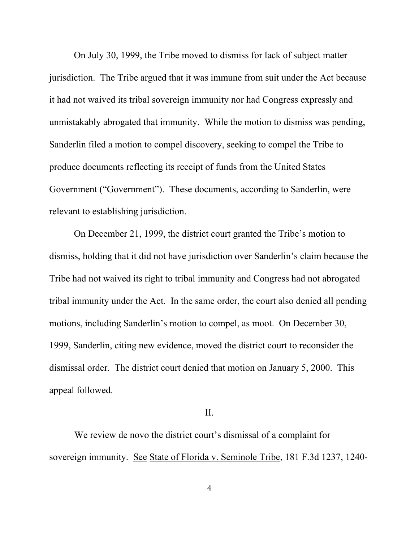On July 30, 1999, the Tribe moved to dismiss for lack of subject matter jurisdiction. The Tribe argued that it was immune from suit under the Act because it had not waived its tribal sovereign immunity nor had Congress expressly and unmistakably abrogated that immunity. While the motion to dismiss was pending, Sanderlin filed a motion to compel discovery, seeking to compel the Tribe to produce documents reflecting its receipt of funds from the United States Government ("Government"). These documents, according to Sanderlin, were relevant to establishing jurisdiction.

On December 21, 1999, the district court granted the Tribe's motion to dismiss, holding that it did not have jurisdiction over Sanderlin's claim because the Tribe had not waived its right to tribal immunity and Congress had not abrogated tribal immunity under the Act. In the same order, the court also denied all pending motions, including Sanderlin's motion to compel, as moot. On December 30, 1999, Sanderlin, citing new evidence, moved the district court to reconsider the dismissal order. The district court denied that motion on January 5, 2000. This appeal followed.

### II.

We review de novo the district court's dismissal of a complaint for sovereign immunity. See State of Florida v. Seminole Tribe, 181 F.3d 1237, 1240-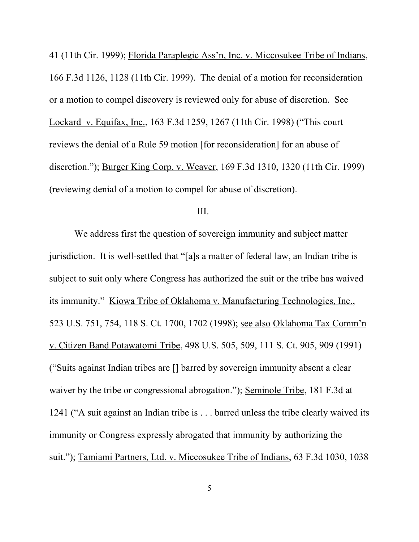41 (11th Cir. 1999); Florida Paraplegic Ass'n, Inc. v. Miccosukee Tribe of Indians, 166 F.3d 1126, 1128 (11th Cir. 1999). The denial of a motion for reconsideration or a motion to compel discovery is reviewed only for abuse of discretion. See Lockard v. Equifax, Inc., 163 F.3d 1259, 1267 (11th Cir. 1998) ("This court reviews the denial of a Rule 59 motion [for reconsideration] for an abuse of discretion."); Burger King Corp. v. Weaver, 169 F.3d 1310, 1320 (11th Cir. 1999) (reviewing denial of a motion to compel for abuse of discretion).

## III.

We address first the question of sovereign immunity and subject matter jurisdiction. It is well-settled that "[a]s a matter of federal law, an Indian tribe is subject to suit only where Congress has authorized the suit or the tribe has waived its immunity." Kiowa Tribe of Oklahoma v. Manufacturing Technologies, Inc., 523 U.S. 751, 754, 118 S. Ct. 1700, 1702 (1998); see also Oklahoma Tax Comm'n v. Citizen Band Potawatomi Tribe, 498 U.S. 505, 509, 111 S. Ct. 905, 909 (1991) ("Suits against Indian tribes are [] barred by sovereign immunity absent a clear waiver by the tribe or congressional abrogation."); Seminole Tribe, 181 F.3d at 1241 ("A suit against an Indian tribe is . . . barred unless the tribe clearly waived its immunity or Congress expressly abrogated that immunity by authorizing the suit."); Tamiami Partners, Ltd. v. Miccosukee Tribe of Indians, 63 F.3d 1030, 1038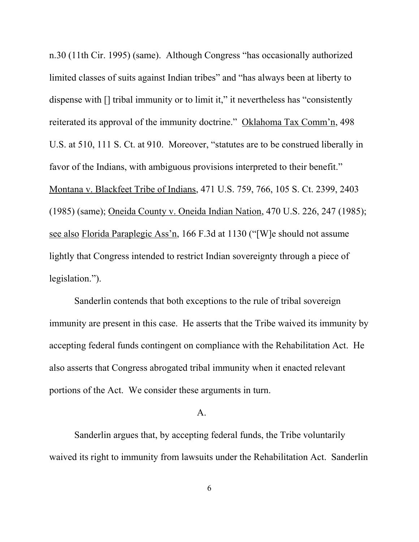n.30 (11th Cir. 1995) (same). Although Congress "has occasionally authorized limited classes of suits against Indian tribes" and "has always been at liberty to dispense with  $\left[\right]$  tribal immunity or to limit it," it nevertheless has "consistently reiterated its approval of the immunity doctrine." Oklahoma Tax Comm'n, 498 U.S. at 510, 111 S. Ct. at 910. Moreover, "statutes are to be construed liberally in favor of the Indians, with ambiguous provisions interpreted to their benefit." Montana v. Blackfeet Tribe of Indians, 471 U.S. 759, 766, 105 S. Ct. 2399, 2403 (1985) (same); Oneida County v. Oneida Indian Nation, 470 U.S. 226, 247 (1985); see also Florida Paraplegic Ass'n, 166 F.3d at 1130 ("[W]e should not assume lightly that Congress intended to restrict Indian sovereignty through a piece of legislation.").

Sanderlin contends that both exceptions to the rule of tribal sovereign immunity are present in this case. He asserts that the Tribe waived its immunity by accepting federal funds contingent on compliance with the Rehabilitation Act. He also asserts that Congress abrogated tribal immunity when it enacted relevant portions of the Act. We consider these arguments in turn.

#### A.

Sanderlin argues that, by accepting federal funds, the Tribe voluntarily waived its right to immunity from lawsuits under the Rehabilitation Act. Sanderlin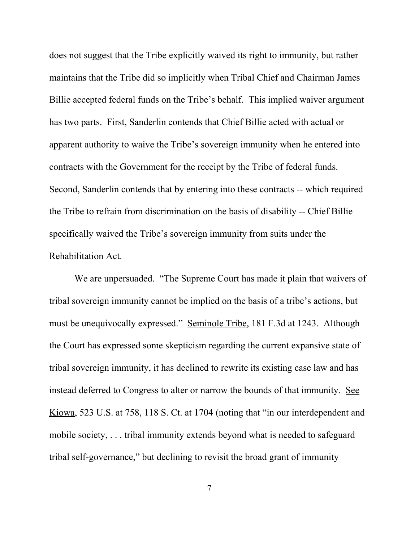does not suggest that the Tribe explicitly waived its right to immunity, but rather maintains that the Tribe did so implicitly when Tribal Chief and Chairman James Billie accepted federal funds on the Tribe's behalf. This implied waiver argument has two parts. First, Sanderlin contends that Chief Billie acted with actual or apparent authority to waive the Tribe's sovereign immunity when he entered into contracts with the Government for the receipt by the Tribe of federal funds. Second, Sanderlin contends that by entering into these contracts -- which required the Tribe to refrain from discrimination on the basis of disability -- Chief Billie specifically waived the Tribe's sovereign immunity from suits under the Rehabilitation Act.

We are unpersuaded. "The Supreme Court has made it plain that waivers of tribal sovereign immunity cannot be implied on the basis of a tribe's actions, but must be unequivocally expressed." Seminole Tribe, 181 F.3d at 1243. Although the Court has expressed some skepticism regarding the current expansive state of tribal sovereign immunity, it has declined to rewrite its existing case law and has instead deferred to Congress to alter or narrow the bounds of that immunity. See Kiowa, 523 U.S. at 758, 118 S. Ct. at 1704 (noting that "in our interdependent and mobile society, . . . tribal immunity extends beyond what is needed to safeguard tribal self-governance," but declining to revisit the broad grant of immunity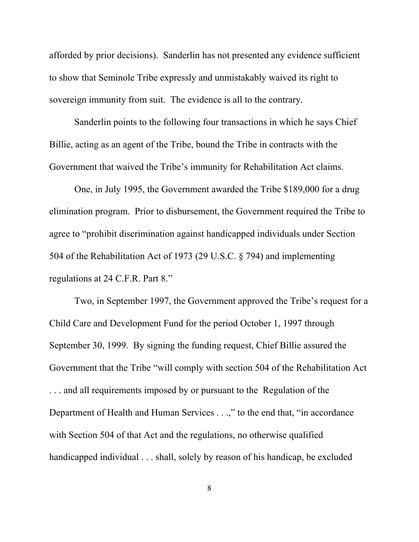afforded by prior decisions). Sanderlin has not presented any evidence sufficient to show that Seminole Tribe expressly and unmistakably waived its right to sovereign immunity from suit. The evidence is all to the contrary.

Sanderlin points to the following four transactions in which he says Chief Billie, acting as an agent of the Tribe, bound the Tribe in contracts with the Government that waived the Tribe's immunity for Rehabilitation Act claims.

One, in July 1995, the Government awarded the Tribe \$189,000 for a drug elimination program. Prior to disbursement, the Government required the Tribe to agree to "prohibit discrimination against handicapped individuals under Section 504 of the Rehabilitation Act of 1973 (29 U.S.C. § 794) and implementing regulations at 24 C.F.R. Part 8."

Two, in September 1997, the Government approved the Tribe's request for a Child Care and Development Fund for the period October 1, 1997 through September 30, 1999. By signing the funding request, Chief Billie assured the Government that the Tribe "will comply with section 504 of the Rehabilitation Act . . . and all requirements imposed by or pursuant to the Regulation of the Department of Health and Human Services . . .," to the end that, "in accordance with Section 504 of that Act and the regulations, no otherwise qualified handicapped individual . . . shall, solely by reason of his handicap, be excluded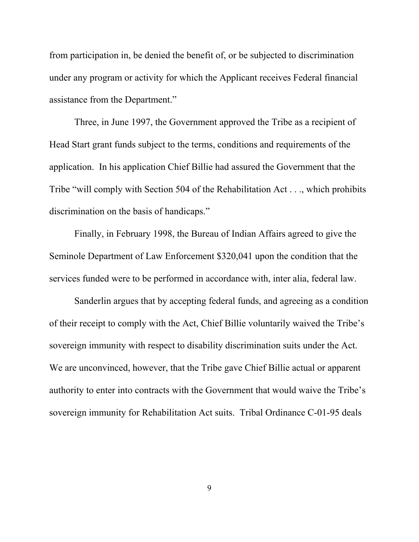from participation in, be denied the benefit of, or be subjected to discrimination under any program or activity for which the Applicant receives Federal financial assistance from the Department."

Three, in June 1997, the Government approved the Tribe as a recipient of Head Start grant funds subject to the terms, conditions and requirements of the application. In his application Chief Billie had assured the Government that the Tribe "will comply with Section 504 of the Rehabilitation Act . . ., which prohibits discrimination on the basis of handicaps."

Finally, in February 1998, the Bureau of Indian Affairs agreed to give the Seminole Department of Law Enforcement \$320,041 upon the condition that the services funded were to be performed in accordance with, inter alia, federal law.

Sanderlin argues that by accepting federal funds, and agreeing as a condition of their receipt to comply with the Act, Chief Billie voluntarily waived the Tribe's sovereign immunity with respect to disability discrimination suits under the Act. We are unconvinced, however, that the Tribe gave Chief Billie actual or apparent authority to enter into contracts with the Government that would waive the Tribe's sovereign immunity for Rehabilitation Act suits. Tribal Ordinance C-01-95 deals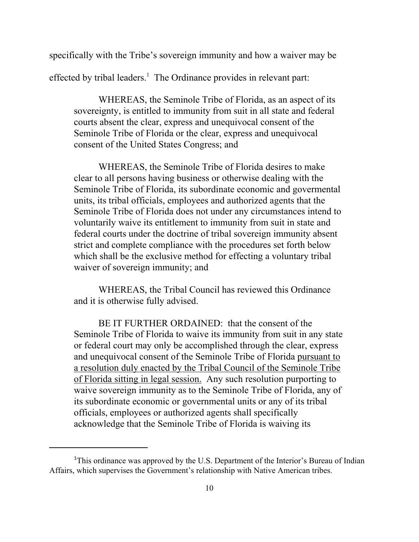specifically with the Tribe's sovereign immunity and how a waiver may be

effected by tribal leaders.<sup>1</sup> The Ordinance provides in relevant part:

WHEREAS, the Seminole Tribe of Florida, as an aspect of its sovereignty, is entitled to immunity from suit in all state and federal courts absent the clear, express and unequivocal consent of the Seminole Tribe of Florida or the clear, express and unequivocal consent of the United States Congress; and

WHEREAS, the Seminole Tribe of Florida desires to make clear to all persons having business or otherwise dealing with the Seminole Tribe of Florida, its subordinate economic and govermental units, its tribal officials, employees and authorized agents that the Seminole Tribe of Florida does not under any circumstances intend to voluntarily waive its entitlement to immunity from suit in state and federal courts under the doctrine of tribal sovereign immunity absent strict and complete compliance with the procedures set forth below which shall be the exclusive method for effecting a voluntary tribal waiver of sovereign immunity; and

WHEREAS, the Tribal Council has reviewed this Ordinance and it is otherwise fully advised.

BE IT FURTHER ORDAINED: that the consent of the Seminole Tribe of Florida to waive its immunity from suit in any state or federal court may only be accomplished through the clear, express and unequivocal consent of the Seminole Tribe of Florida pursuant to a resolution duly enacted by the Tribal Council of the Seminole Tribe of Florida sitting in legal session. Any such resolution purporting to waive sovereign immunity as to the Seminole Tribe of Florida, any of its subordinate economic or governmental units or any of its tribal officials, employees or authorized agents shall specifically acknowledge that the Seminole Tribe of Florida is waiving its

<sup>&</sup>lt;sup>1</sup>This ordinance was approved by the U.S. Department of the Interior's Bureau of Indian Affairs, which supervises the Government's relationship with Native American tribes.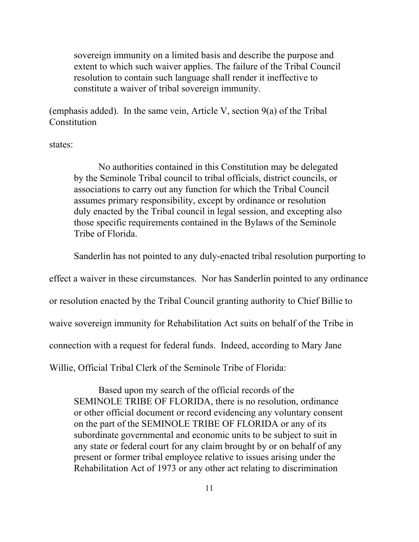sovereign immunity on a limited basis and describe the purpose and extent to which such waiver applies. The failure of the Tribal Council resolution to contain such language shall render it ineffective to constitute a waiver of tribal sovereign immunity.

(emphasis added). In the same vein, Article V, section 9(a) of the Tribal **Constitution** 

states:

No authorities contained in this Constitution may be delegated by the Seminole Tribal council to tribal officials, district councils, or associations to carry out any function for which the Tribal Council assumes primary responsibility, except by ordinance or resolution duly enacted by the Tribal council in legal session, and excepting also those specific requirements contained in the Bylaws of the Seminole Tribe of Florida.

Sanderlin has not pointed to any duly-enacted tribal resolution purporting to

effect a waiver in these circumstances. Nor has Sanderlin pointed to any ordinance

or resolution enacted by the Tribal Council granting authority to Chief Billie to

waive sovereign immunity for Rehabilitation Act suits on behalf of the Tribe in

connection with a request for federal funds. Indeed, according to Mary Jane

Willie, Official Tribal Clerk of the Seminole Tribe of Florida:

Based upon my search of the official records of the SEMINOLE TRIBE OF FLORIDA, there is no resolution, ordinance or other official document or record evidencing any voluntary consent on the part of the SEMINOLE TRIBE OF FLORIDA or any of its subordinate governmental and economic units to be subject to suit in any state or federal court for any claim brought by or on behalf of any present or former tribal employee relative to issues arising under the Rehabilitation Act of 1973 or any other act relating to discrimination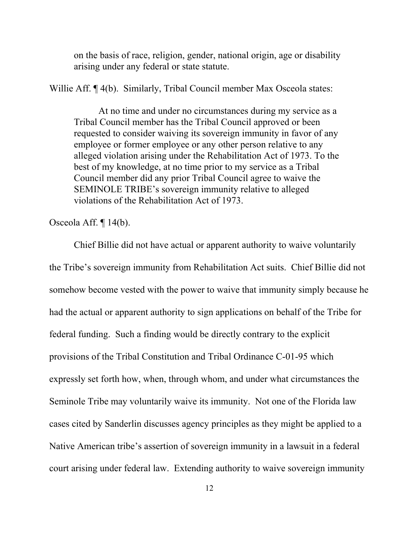on the basis of race, religion, gender, national origin, age or disability arising under any federal or state statute.

Willie Aff. ¶ 4(b). Similarly, Tribal Council member Max Osceola states:

At no time and under no circumstances during my service as a Tribal Council member has the Tribal Council approved or been requested to consider waiving its sovereign immunity in favor of any employee or former employee or any other person relative to any alleged violation arising under the Rehabilitation Act of 1973. To the best of my knowledge, at no time prior to my service as a Tribal Council member did any prior Tribal Council agree to waive the SEMINOLE TRIBE's sovereign immunity relative to alleged violations of the Rehabilitation Act of 1973.

Osceola Aff. ¶ 14(b).

Chief Billie did not have actual or apparent authority to waive voluntarily the Tribe's sovereign immunity from Rehabilitation Act suits. Chief Billie did not somehow become vested with the power to waive that immunity simply because he had the actual or apparent authority to sign applications on behalf of the Tribe for federal funding. Such a finding would be directly contrary to the explicit provisions of the Tribal Constitution and Tribal Ordinance C-01-95 which expressly set forth how, when, through whom, and under what circumstances the Seminole Tribe may voluntarily waive its immunity. Not one of the Florida law cases cited by Sanderlin discusses agency principles as they might be applied to a Native American tribe's assertion of sovereign immunity in a lawsuit in a federal court arising under federal law. Extending authority to waive sovereign immunity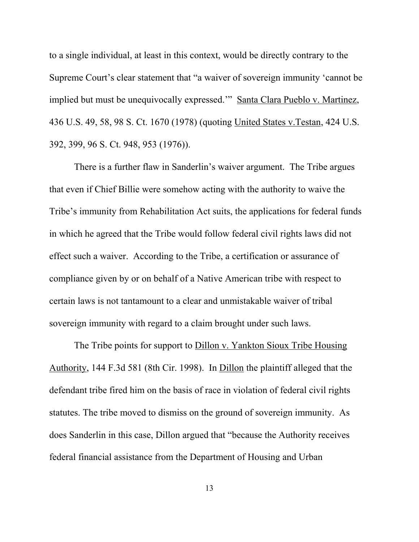to a single individual, at least in this context, would be directly contrary to the Supreme Court's clear statement that "a waiver of sovereign immunity 'cannot be implied but must be unequivocally expressed.'" Santa Clara Pueblo v. Martinez, 436 U.S. 49, 58, 98 S. Ct. 1670 (1978) (quoting United States v.Testan, 424 U.S. 392, 399, 96 S. Ct. 948, 953 (1976)).

There is a further flaw in Sanderlin's waiver argument. The Tribe argues that even if Chief Billie were somehow acting with the authority to waive the Tribe's immunity from Rehabilitation Act suits, the applications for federal funds in which he agreed that the Tribe would follow federal civil rights laws did not effect such a waiver. According to the Tribe, a certification or assurance of compliance given by or on behalf of a Native American tribe with respect to certain laws is not tantamount to a clear and unmistakable waiver of tribal sovereign immunity with regard to a claim brought under such laws.

The Tribe points for support to Dillon v. Yankton Sioux Tribe Housing Authority, 144 F.3d 581 (8th Cir. 1998). In Dillon the plaintiff alleged that the defendant tribe fired him on the basis of race in violation of federal civil rights statutes. The tribe moved to dismiss on the ground of sovereign immunity. As does Sanderlin in this case, Dillon argued that "because the Authority receives federal financial assistance from the Department of Housing and Urban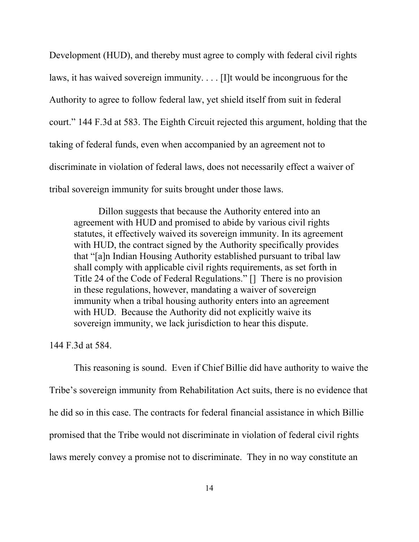Development (HUD), and thereby must agree to comply with federal civil rights laws, it has waived sovereign immunity. . . . [I]t would be incongruous for the Authority to agree to follow federal law, yet shield itself from suit in federal court." 144 F.3d at 583. The Eighth Circuit rejected this argument, holding that the taking of federal funds, even when accompanied by an agreement not to discriminate in violation of federal laws, does not necessarily effect a waiver of tribal sovereign immunity for suits brought under those laws.

Dillon suggests that because the Authority entered into an agreement with HUD and promised to abide by various civil rights statutes, it effectively waived its sovereign immunity. In its agreement with HUD, the contract signed by the Authority specifically provides that "[a]n Indian Housing Authority established pursuant to tribal law shall comply with applicable civil rights requirements, as set forth in Title 24 of the Code of Federal Regulations." [] There is no provision in these regulations, however, mandating a waiver of sovereign immunity when a tribal housing authority enters into an agreement with HUD. Because the Authority did not explicitly waive its sovereign immunity, we lack jurisdiction to hear this dispute.

144 F.3d at 584.

This reasoning is sound. Even if Chief Billie did have authority to waive the Tribe's sovereign immunity from Rehabilitation Act suits, there is no evidence that he did so in this case. The contracts for federal financial assistance in which Billie promised that the Tribe would not discriminate in violation of federal civil rights laws merely convey a promise not to discriminate. They in no way constitute an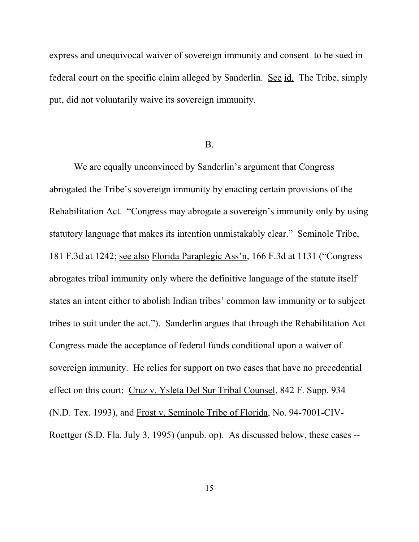express and unequivocal waiver of sovereign immunity and consent to be sued in federal court on the specific claim alleged by Sanderlin. See id. The Tribe, simply put, did not voluntarily waive its sovereign immunity.

## B.

We are equally unconvinced by Sanderlin's argument that Congress abrogated the Tribe's sovereign immunity by enacting certain provisions of the Rehabilitation Act. "Congress may abrogate a sovereign's immunity only by using statutory language that makes its intention unmistakably clear." Seminole Tribe, 181 F.3d at 1242; see also Florida Paraplegic Ass'n, 166 F.3d at 1131 ("Congress abrogates tribal immunity only where the definitive language of the statute itself states an intent either to abolish Indian tribes' common law immunity or to subject tribes to suit under the act."). Sanderlin argues that through the Rehabilitation Act Congress made the acceptance of federal funds conditional upon a waiver of sovereign immunity. He relies for support on two cases that have no precedential effect on this court: Cruz v. Ysleta Del Sur Tribal Counsel, 842 F. Supp. 934 (N.D. Tex. 1993), and Frost v. Seminole Tribe of Florida, No. 94-7001-CIV-Roettger (S.D. Fla. July 3, 1995) (unpub. op). As discussed below, these cases --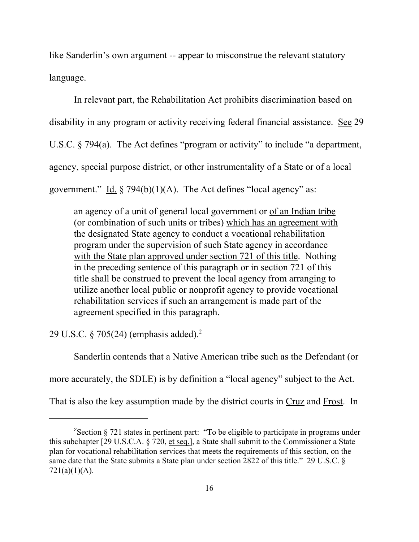like Sanderlin's own argument -- appear to misconstrue the relevant statutory language.

In relevant part, the Rehabilitation Act prohibits discrimination based on disability in any program or activity receiving federal financial assistance. See 29 U.S.C. § 794(a). The Act defines "program or activity" to include "a department, agency, special purpose district, or other instrumentality of a State or of a local government." Id.  $\S 794(b)(1)(A)$ . The Act defines "local agency" as:

an agency of a unit of general local government or of an Indian tribe (or combination of such units or tribes) which has an agreement with the designated State agency to conduct a vocational rehabilitation program under the supervision of such State agency in accordance with the State plan approved under section 721 of this title. Nothing in the preceding sentence of this paragraph or in section 721 of this title shall be construed to prevent the local agency from arranging to utilize another local public or nonprofit agency to provide vocational rehabilitation services if such an arrangement is made part of the agreement specified in this paragraph.

29 U.S.C. § 705(24) (emphasis added).2

Sanderlin contends that a Native American tribe such as the Defendant (or

more accurately, the SDLE) is by definition a "local agency" subject to the Act.

That is also the key assumption made by the district courts in Cruz and Frost. In

<sup>&</sup>lt;sup>2</sup>Section § 721 states in pertinent part: "To be eligible to participate in programs under this subchapter [29 U.S.C.A. § 720, et seq.], a State shall submit to the Commissioner a State plan for vocational rehabilitation services that meets the requirements of this section, on the same date that the State submits a State plan under section 2822 of this title." 29 U.S.C. §  $721(a)(1)(A)$ .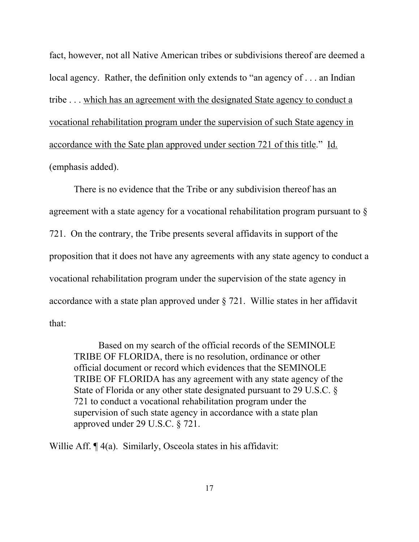fact, however, not all Native American tribes or subdivisions thereof are deemed a local agency. Rather, the definition only extends to "an agency of . . . an Indian tribe . . . which has an agreement with the designated State agency to conduct a vocational rehabilitation program under the supervision of such State agency in accordance with the Sate plan approved under section 721 of this title." Id. (emphasis added).

There is no evidence that the Tribe or any subdivision thereof has an agreement with a state agency for a vocational rehabilitation program pursuant to § 721. On the contrary, the Tribe presents several affidavits in support of the proposition that it does not have any agreements with any state agency to conduct a vocational rehabilitation program under the supervision of the state agency in accordance with a state plan approved under § 721. Willie states in her affidavit that:

Based on my search of the official records of the SEMINOLE TRIBE OF FLORIDA, there is no resolution, ordinance or other official document or record which evidences that the SEMINOLE TRIBE OF FLORIDA has any agreement with any state agency of the State of Florida or any other state designated pursuant to 29 U.S.C. § 721 to conduct a vocational rehabilitation program under the supervision of such state agency in accordance with a state plan approved under 29 U.S.C. § 721.

Willie Aff.  $\P$  4(a). Similarly, Osceola states in his affidavit: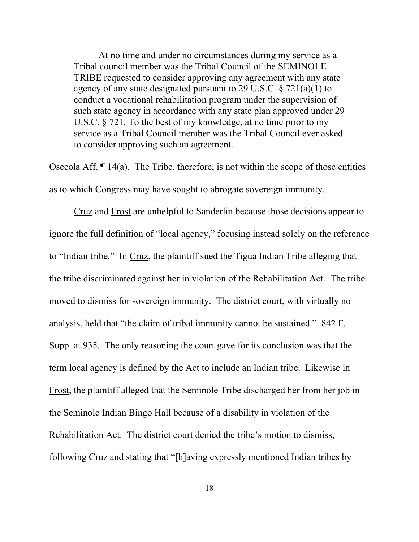At no time and under no circumstances during my service as a Tribal council member was the Tribal Council of the SEMINOLE TRIBE requested to consider approving any agreement with any state agency of any state designated pursuant to 29 U.S.C. § 721(a)(1) to conduct a vocational rehabilitation program under the supervision of such state agency in accordance with any state plan approved under 29 U.S.C. § 721. To the best of my knowledge, at no time prior to my service as a Tribal Council member was the Tribal Council ever asked to consider approving such an agreement.

Osceola Aff.  $\P$  14(a). The Tribe, therefore, is not within the scope of those entities as to which Congress may have sought to abrogate sovereign immunity.

Cruz and Frost are unhelpful to Sanderlin because those decisions appear to ignore the full definition of "local agency," focusing instead solely on the reference to "Indian tribe." In Cruz, the plaintiff sued the Tigua Indian Tribe alleging that the tribe discriminated against her in violation of the Rehabilitation Act. The tribe moved to dismiss for sovereign immunity. The district court, with virtually no analysis, held that "the claim of tribal immunity cannot be sustained." 842 F. Supp. at 935. The only reasoning the court gave for its conclusion was that the term local agency is defined by the Act to include an Indian tribe. Likewise in Frost, the plaintiff alleged that the Seminole Tribe discharged her from her job in the Seminole Indian Bingo Hall because of a disability in violation of the Rehabilitation Act. The district court denied the tribe's motion to dismiss, following Cruz and stating that "[h]aving expressly mentioned Indian tribes by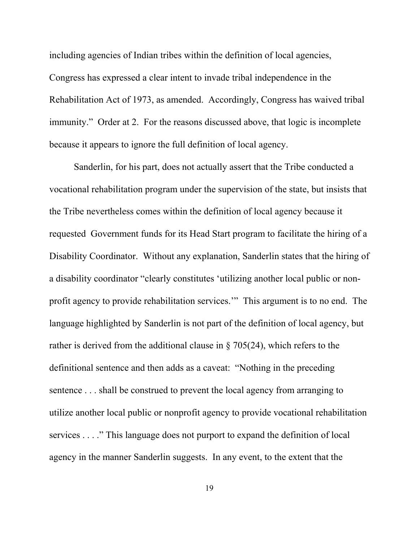including agencies of Indian tribes within the definition of local agencies, Congress has expressed a clear intent to invade tribal independence in the Rehabilitation Act of 1973, as amended. Accordingly, Congress has waived tribal immunity." Order at 2. For the reasons discussed above, that logic is incomplete because it appears to ignore the full definition of local agency.

Sanderlin, for his part, does not actually assert that the Tribe conducted a vocational rehabilitation program under the supervision of the state, but insists that the Tribe nevertheless comes within the definition of local agency because it requested Government funds for its Head Start program to facilitate the hiring of a Disability Coordinator. Without any explanation, Sanderlin states that the hiring of a disability coordinator "clearly constitutes 'utilizing another local public or nonprofit agency to provide rehabilitation services.'" This argument is to no end. The language highlighted by Sanderlin is not part of the definition of local agency, but rather is derived from the additional clause in § 705(24), which refers to the definitional sentence and then adds as a caveat: "Nothing in the preceding sentence . . . shall be construed to prevent the local agency from arranging to utilize another local public or nonprofit agency to provide vocational rehabilitation services . . . ." This language does not purport to expand the definition of local agency in the manner Sanderlin suggests. In any event, to the extent that the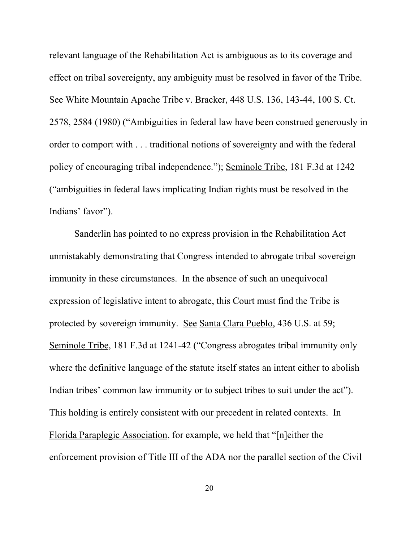relevant language of the Rehabilitation Act is ambiguous as to its coverage and effect on tribal sovereignty, any ambiguity must be resolved in favor of the Tribe. See White Mountain Apache Tribe v. Bracker, 448 U.S. 136, 143-44, 100 S. Ct. 2578, 2584 (1980) ("Ambiguities in federal law have been construed generously in order to comport with . . . traditional notions of sovereignty and with the federal policy of encouraging tribal independence."); Seminole Tribe, 181 F.3d at 1242 ("ambiguities in federal laws implicating Indian rights must be resolved in the Indians' favor").

Sanderlin has pointed to no express provision in the Rehabilitation Act unmistakably demonstrating that Congress intended to abrogate tribal sovereign immunity in these circumstances. In the absence of such an unequivocal expression of legislative intent to abrogate, this Court must find the Tribe is protected by sovereign immunity. See Santa Clara Pueblo, 436 U.S. at 59; Seminole Tribe, 181 F.3d at 1241-42 ("Congress abrogates tribal immunity only where the definitive language of the statute itself states an intent either to abolish Indian tribes' common law immunity or to subject tribes to suit under the act"). This holding is entirely consistent with our precedent in related contexts. In Florida Paraplegic Association, for example, we held that "[n]either the enforcement provision of Title III of the ADA nor the parallel section of the Civil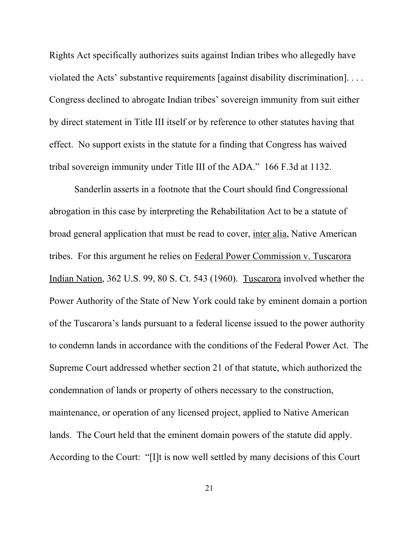Rights Act specifically authorizes suits against Indian tribes who allegedly have violated the Acts' substantive requirements [against disability discrimination]. . . . Congress declined to abrogate Indian tribes' sovereign immunity from suit either by direct statement in Title III itself or by reference to other statutes having that effect. No support exists in the statute for a finding that Congress has waived tribal sovereign immunity under Title III of the ADA." 166 F.3d at 1132.

Sanderlin asserts in a footnote that the Court should find Congressional abrogation in this case by interpreting the Rehabilitation Act to be a statute of broad general application that must be read to cover, inter alia, Native American tribes. For this argument he relies on Federal Power Commission v. Tuscarora Indian Nation, 362 U.S. 99, 80 S. Ct. 543 (1960). Tuscarora involved whether the Power Authority of the State of New York could take by eminent domain a portion of the Tuscarora's lands pursuant to a federal license issued to the power authority to condemn lands in accordance with the conditions of the Federal Power Act. The Supreme Court addressed whether section 21 of that statute, which authorized the condemnation of lands or property of others necessary to the construction, maintenance, or operation of any licensed project, applied to Native American lands. The Court held that the eminent domain powers of the statute did apply. According to the Court: "[I]t is now well settled by many decisions of this Court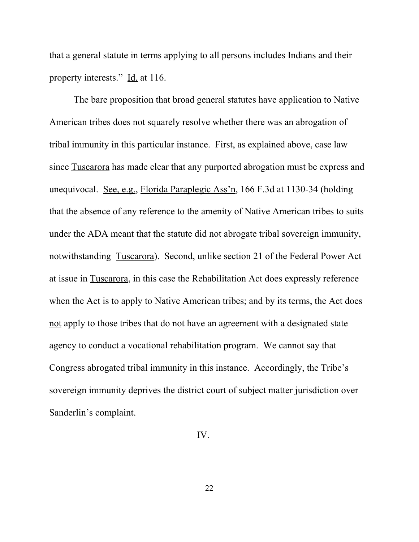that a general statute in terms applying to all persons includes Indians and their property interests." Id. at 116.

The bare proposition that broad general statutes have application to Native American tribes does not squarely resolve whether there was an abrogation of tribal immunity in this particular instance. First, as explained above, case law since Tuscarora has made clear that any purported abrogation must be express and unequivocal. See, e.g., Florida Paraplegic Ass'n, 166 F.3d at 1130-34 (holding that the absence of any reference to the amenity of Native American tribes to suits under the ADA meant that the statute did not abrogate tribal sovereign immunity, notwithstanding Tuscarora). Second, unlike section 21 of the Federal Power Act at issue in Tuscarora, in this case the Rehabilitation Act does expressly reference when the Act is to apply to Native American tribes; and by its terms, the Act does not apply to those tribes that do not have an agreement with a designated state agency to conduct a vocational rehabilitation program. We cannot say that Congress abrogated tribal immunity in this instance. Accordingly, the Tribe's sovereign immunity deprives the district court of subject matter jurisdiction over Sanderlin's complaint.

IV.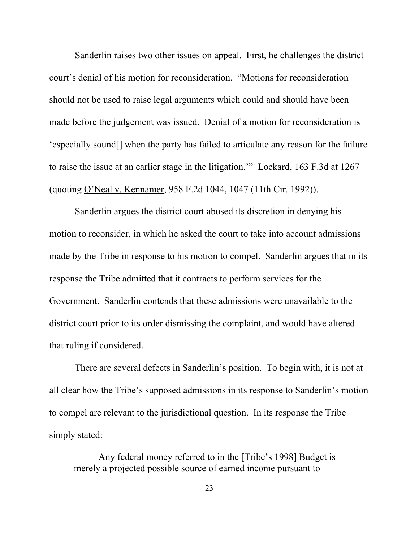Sanderlin raises two other issues on appeal. First, he challenges the district court's denial of his motion for reconsideration. "Motions for reconsideration should not be used to raise legal arguments which could and should have been made before the judgement was issued. Denial of a motion for reconsideration is 'especially sound[] when the party has failed to articulate any reason for the failure to raise the issue at an earlier stage in the litigation.'" Lockard, 163 F.3d at 1267 (quoting O'Neal v. Kennamer, 958 F.2d 1044, 1047 (11th Cir. 1992)).

Sanderlin argues the district court abused its discretion in denying his motion to reconsider, in which he asked the court to take into account admissions made by the Tribe in response to his motion to compel. Sanderlin argues that in its response the Tribe admitted that it contracts to perform services for the Government. Sanderlin contends that these admissions were unavailable to the district court prior to its order dismissing the complaint, and would have altered that ruling if considered.

There are several defects in Sanderlin's position. To begin with, it is not at all clear how the Tribe's supposed admissions in its response to Sanderlin's motion to compel are relevant to the jurisdictional question. In its response the Tribe simply stated:

Any federal money referred to in the [Tribe's 1998] Budget is merely a projected possible source of earned income pursuant to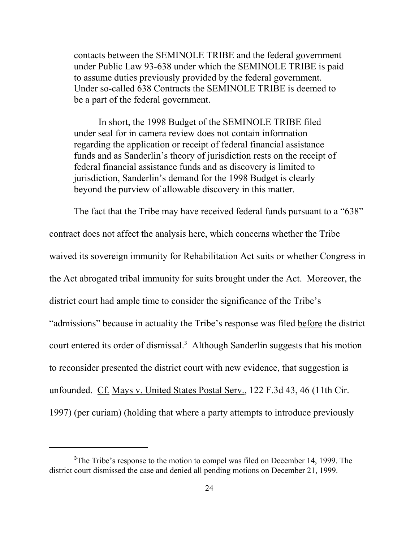contacts between the SEMINOLE TRIBE and the federal government under Public Law 93-638 under which the SEMINOLE TRIBE is paid to assume duties previously provided by the federal government. Under so-called 638 Contracts the SEMINOLE TRIBE is deemed to be a part of the federal government.

In short, the 1998 Budget of the SEMINOLE TRIBE filed under seal for in camera review does not contain information regarding the application or receipt of federal financial assistance funds and as Sanderlin's theory of jurisdiction rests on the receipt of federal financial assistance funds and as discovery is limited to jurisdiction, Sanderlin's demand for the 1998 Budget is clearly beyond the purview of allowable discovery in this matter.

The fact that the Tribe may have received federal funds pursuant to a "638" contract does not affect the analysis here, which concerns whether the Tribe waived its sovereign immunity for Rehabilitation Act suits or whether Congress in the Act abrogated tribal immunity for suits brought under the Act. Moreover, the district court had ample time to consider the significance of the Tribe's "admissions" because in actuality the Tribe's response was filed before the district court entered its order of dismissal.<sup>3</sup> Although Sanderlin suggests that his motion to reconsider presented the district court with new evidence, that suggestion is unfounded. Cf. Mays v. United States Postal Serv., 122 F.3d 43, 46 (11th Cir. 1997) (per curiam) (holding that where a party attempts to introduce previously

<sup>&</sup>lt;sup>3</sup>The Tribe's response to the motion to compel was filed on December 14, 1999. The district court dismissed the case and denied all pending motions on December 21, 1999.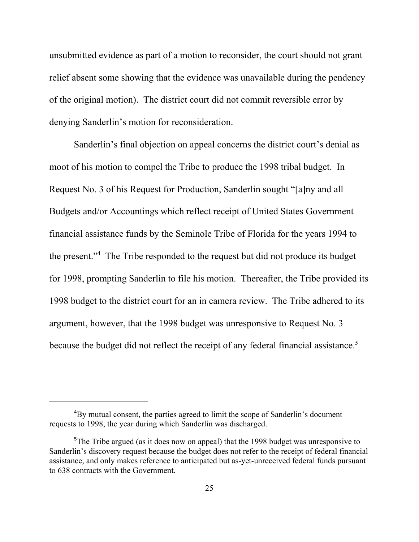unsubmitted evidence as part of a motion to reconsider, the court should not grant relief absent some showing that the evidence was unavailable during the pendency of the original motion). The district court did not commit reversible error by denying Sanderlin's motion for reconsideration.

Sanderlin's final objection on appeal concerns the district court's denial as moot of his motion to compel the Tribe to produce the 1998 tribal budget. In Request No. 3 of his Request for Production, Sanderlin sought "[a]ny and all Budgets and/or Accountings which reflect receipt of United States Government financial assistance funds by the Seminole Tribe of Florida for the years 1994 to the present."<sup>4</sup> The Tribe responded to the request but did not produce its budget for 1998, prompting Sanderlin to file his motion. Thereafter, the Tribe provided its 1998 budget to the district court for an in camera review. The Tribe adhered to its argument, however, that the 1998 budget was unresponsive to Request No. 3 because the budget did not reflect the receipt of any federal financial assistance.<sup>5</sup>

<sup>&</sup>lt;sup>4</sup>By mutual consent, the parties agreed to limit the scope of Sanderlin's document requests to 1998, the year during which Sanderlin was discharged.

<sup>&</sup>lt;sup>5</sup>The Tribe argued (as it does now on appeal) that the 1998 budget was unresponsive to Sanderlin's discovery request because the budget does not refer to the receipt of federal financial assistance, and only makes reference to anticipated but as-yet-unreceived federal funds pursuant to 638 contracts with the Government.